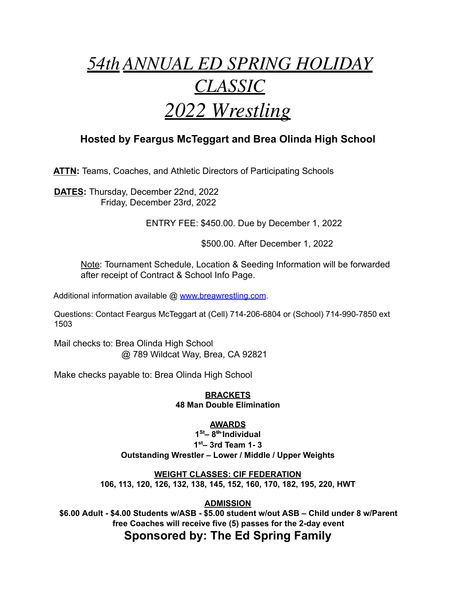# <u>*54th ANNUAL ED SPRING HOLIDAY*</u> *CLASSIC* 2022 Wrestling

## Hosted by Feargus McTeggart and Brea Olinda High School

ATTN: Teams, Coaches, and Athletic Directors of Participating Schools

DATES: Thursday, December 22nd, 2022 Friday, December 23rd, 2022

ENTRY FEE: \$450.00. Due by December 1, 2022

\$500.00. After December 1, 2022

Note: Tournament Schedule, Location & Seeding Information will be forwarded after receipt of Contract & School Info Page.

Additional information available @ www.breawrestling.com.

Questions: Contact Feargus McTeggart at (Cell) 714-206-6804 or (School) 714-990-7850 ext 1503

Mail checks to: Brea Olinda High School @ 789 Wildcat Way, Brea, CA 92821

Make checks payable to: Brea Olinda High School

**BRACKETS 48 Man Double Elimination** 

### **AWARDS**

 $1<sup>St</sup> - 8<sup>th</sup>$ Individual  $1<sup>st</sup>$  3rd Team 1-3 Outstanding Wrestler - Lower / Middle / Upper Weights

**WEIGHT CLASSES: CIF FEDERATION** 106, 113, 120, 126, 132, 138, 145, 152, 160, 170, 182, 195, 220, HWT

**ADMISSION** 

\$6.00 Adult - \$4.00 Students w/ASB - \$5.00 student w/out ASB - Child under 8 w/Parent free Coaches will receive five (5) passes for the 2-day event

## Sponsored by: The Ed Spring Family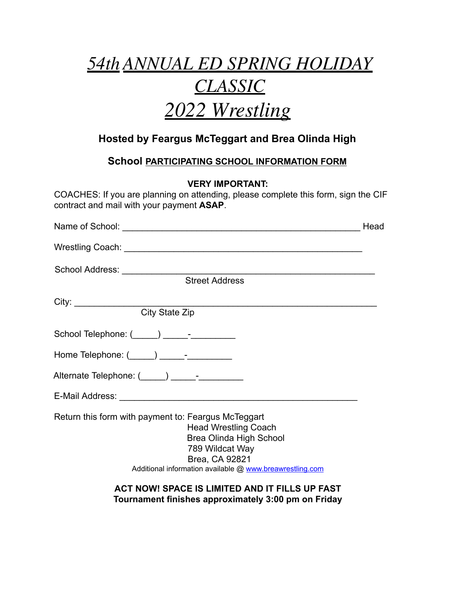# *54WK ANN8AL ED 6P5ING HOLIDA< CLA66IC* 2022 Wrestling

## **Hosted by Feargus McTeggart and Brea Olinda High**

**School PARTICIPATING SCHOOL INFORMATION FORM** 

**VERY IMPORTANT:**

COACHES: If you are planning on attending, please complete this form, sign the CIF contract and mail with your payment ASAP.

|                                                                                                                                                                                                                | Head |
|----------------------------------------------------------------------------------------------------------------------------------------------------------------------------------------------------------------|------|
|                                                                                                                                                                                                                |      |
|                                                                                                                                                                                                                |      |
| <b>Street Address</b>                                                                                                                                                                                          |      |
|                                                                                                                                                                                                                |      |
| City: City State Zip                                                                                                                                                                                           |      |
|                                                                                                                                                                                                                |      |
| Home Telephone: $(\_\_\_\_) \_\_\_\$ -                                                                                                                                                                         |      |
| Alternate Telephone: (Call 2015) [19] - The Contract of Alternate Telephone: (Call 2016)                                                                                                                       |      |
|                                                                                                                                                                                                                |      |
| Return this form with payment to: Feargus McTeggart<br><b>Head Wrestling Coach</b><br>Brea Olinda High School<br>789 Wildcat Way<br>Brea, CA 92821<br>Additional information available @ www.breawrestling.com |      |
|                                                                                                                                                                                                                |      |

**ACT NOW! SPACE IS LIMITED AND IT FILLS UP FAST** Tournament finishes approximately 3:00 pm on Friday